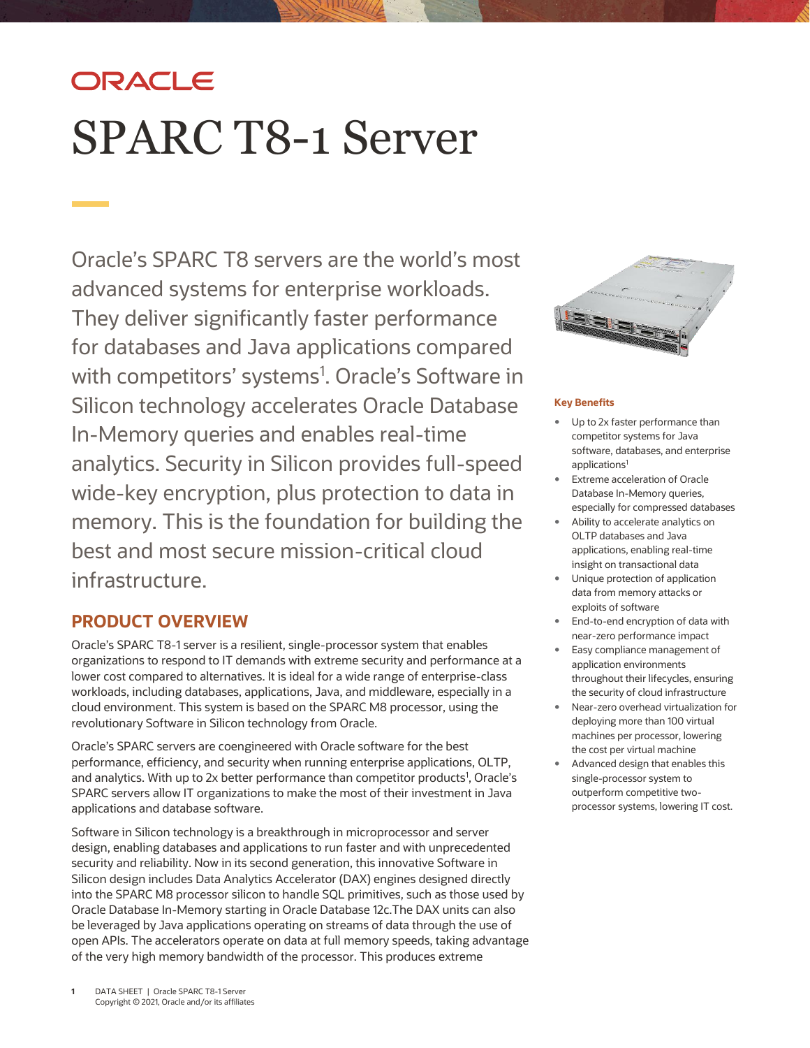# ORACLE SPARC T8-1 Server

Oracle's SPARC T8 servers are the world's most advanced systems for enterprise workloads. They deliver significantly faster performance for databases and Java applications compared with competitors' systems<sup>1</sup>. Oracle's Software in Silicon technology accelerates Oracle Database In-Memory queries and enables real-time analytics. Security in Silicon provides full-speed wide-key encryption, plus protection to data in memory. This is the foundation for building the best and most secure mission-critical cloud infrastructure.

# **PRODUCT OVERVIEW**

Oracle's SPARC T8-1 server is a resilient, single-processor system that enables organizations to respond to IT demands with extreme security and performance at a lower cost compared to alternatives. It is ideal for a wide range of enterprise-class workloads, including databases, applications, Java, and middleware, especially in a cloud environment. This system is based on the SPARC M8 processor, using the revolutionary Software in Silicon technology from Oracle.

Oracle's SPARC servers are coengineered with Oracle software for the best performance, efficiency, and security when running enterprise applications, OLTP, and analytics. With up to 2x better performance than competitor products<sup>1</sup>, Oracle's SPARC servers allow IT organizations to make the most of their investment in Java applications and database software.

Software in Silicon technology is a breakthrough in microprocessor and server design, enabling databases and applications to run faster and with unprecedented security and reliability. Now in its second generation, this innovative Software in Silicon design includes Data Analytics Accelerator (DAX) engines designed directly into the SPARC M8 processor silicon to handle SQL primitives, such as those used by Oracle Database In-Memory starting in Oracle Database 12c.The DAX units can also be leveraged by Java applications operating on streams of data through the use of open APIs. The accelerators operate on data at full memory speeds, taking advantage of the very high memory bandwidth of the processor. This produces extreme



# **Key Benefits**

- Up to 2x faster performance than competitor systems for Java software, databases, and enterprise applications<sup>1</sup>
- Extreme acceleration of Oracle Database In-Memory queries, especially for compressed databases
- Ability to accelerate analytics on OLTP databases and Java applications, enabling real-time insight on transactional data
- Unique protection of application data from memory attacks or exploits of software
- End-to-end encryption of data with near-zero performance impact
- Easy compliance management of application environments throughout their lifecycles, ensuring the security of cloud infrastructure
- Near-zero overhead virtualization for deploying more than 100 virtual machines per processor, lowering the cost per virtual machine
- Advanced design that enables this single-processor system to outperform competitive twoprocessor systems, lowering IT cost.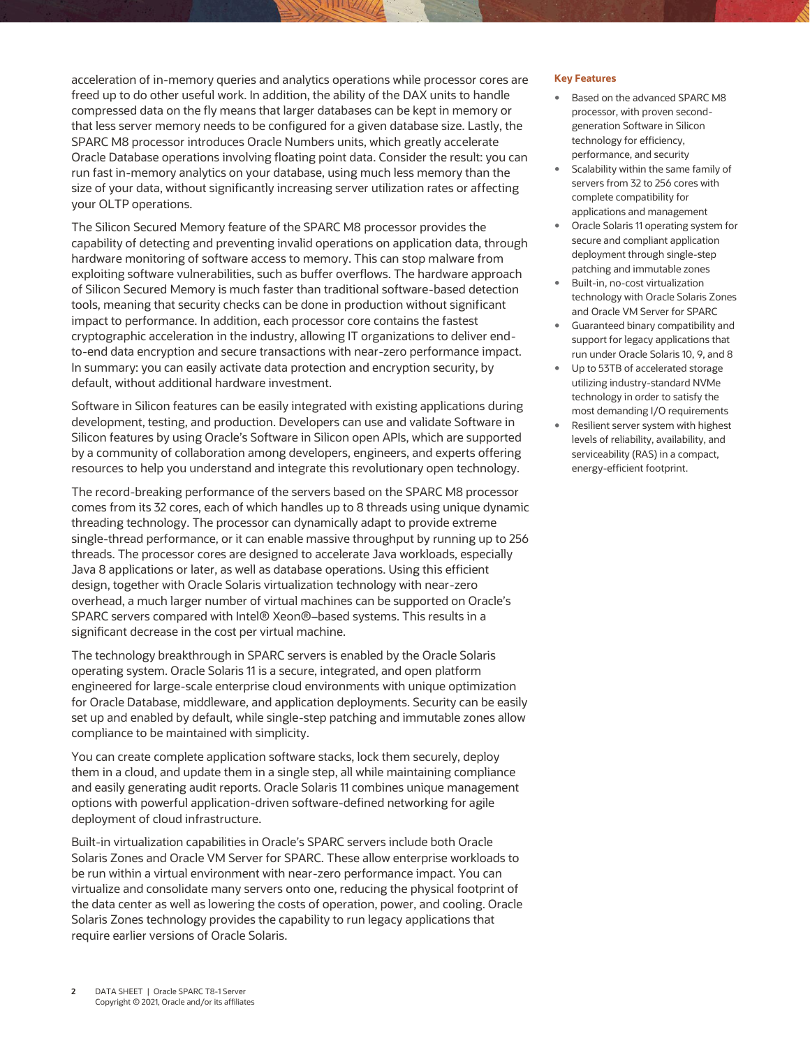acceleration of in-memory queries and analytics operations while processor cores are freed up to do other useful work. In addition, the ability of the DAX units to handle compressed data on the fly means that larger databases can be kept in memory or that less server memory needs to be configured for a given database size. Lastly, the SPARC M8 processor introduces Oracle Numbers units, which greatly accelerate Oracle Database operations involving floating point data. Consider the result: you can run fast in-memory analytics on your database, using much less memory than the size of your data, without significantly increasing server utilization rates or affecting your OLTP operations.

The Silicon Secured Memory feature of the SPARC M8 processor provides the capability of detecting and preventing invalid operations on application data, through hardware monitoring of software access to memory. This can stop malware from exploiting software vulnerabilities, such as buffer overflows. The hardware approach of Silicon Secured Memory is much faster than traditional software-based detection tools, meaning that security checks can be done in production without significant impact to performance. In addition, each processor core contains the fastest cryptographic acceleration in the industry, allowing IT organizations to deliver endto-end data encryption and secure transactions with near-zero performance impact. In summary: you can easily activate data protection and encryption security, by default, without additional hardware investment.

Software in Silicon features can be easily integrated with existing applications during development, testing, and production. Developers can use and validate Software in Silicon features by using Oracle's Software in Silicon open APIs, which are supported by a community of collaboration among developers, engineers, and experts offering resources to help you understand and integrate this revolutionary open technology.

The record-breaking performance of the servers based on the SPARC M8 processor comes from its 32 cores, each of which handles up to 8 threads using unique dynamic threading technology. The processor can dynamically adapt to provide extreme single-thread performance, or it can enable massive throughput by running up to 256 threads. The processor cores are designed to accelerate Java workloads, especially Java 8 applications or later, as well as database operations. Using this efficient design, together with Oracle Solaris virtualization technology with near-zero overhead, a much larger number of virtual machines can be supported on Oracle's SPARC servers compared with Intel® Xeon®–based systems. This results in a significant decrease in the cost per virtual machine.

The technology breakthrough in SPARC servers is enabled by the Oracle Solaris operating system. Oracle Solaris 11 is a secure, integrated, and open platform engineered for large-scale enterprise cloud environments with unique optimization for Oracle Database, middleware, and application deployments. Security can be easily set up and enabled by default, while single-step patching and immutable zones allow compliance to be maintained with simplicity.

You can create complete application software stacks, lock them securely, deploy them in a cloud, and update them in a single step, all while maintaining compliance and easily generating audit reports. Oracle Solaris 11 combines unique management options with powerful application-driven software-defined networking for agile deployment of cloud infrastructure.

Built-in virtualization capabilities in Oracle's SPARC servers include both Oracle Solaris Zones and Oracle VM Server for SPARC. These allow enterprise workloads to be run within a virtual environment with near-zero performance impact. You can virtualize and consolidate many servers onto one, reducing the physical footprint of the data center as well as lowering the costs of operation, power, and cooling. Oracle Solaris Zones technology provides the capability to run legacy applications that require earlier versions of Oracle Solaris.

#### **Key Features**

- Based on the advanced SPARC M8 processor, with proven secondgeneration Software in Silicon technology for efficiency, performance, and security
- Scalability within the same family of servers from 32 to 256 cores with complete compatibility for applications and management
- Oracle Solaris 11 operating system for secure and compliant application deployment through single-step patching and immutable zones
- Built-in, no-cost virtualization technology with Oracle Solaris Zones and Oracle VM Server for SPARC
- Guaranteed binary compatibility and support for legacy applications that run under Oracle Solaris 10, 9, and 8
- Up to 53TB of accelerated storage utilizing industry-standard NVMe technology in order to satisfy the most demanding I/O requirements
- Resilient server system with highest levels of reliability, availability, and serviceability (RAS) in a compact, energy-efficient footprint.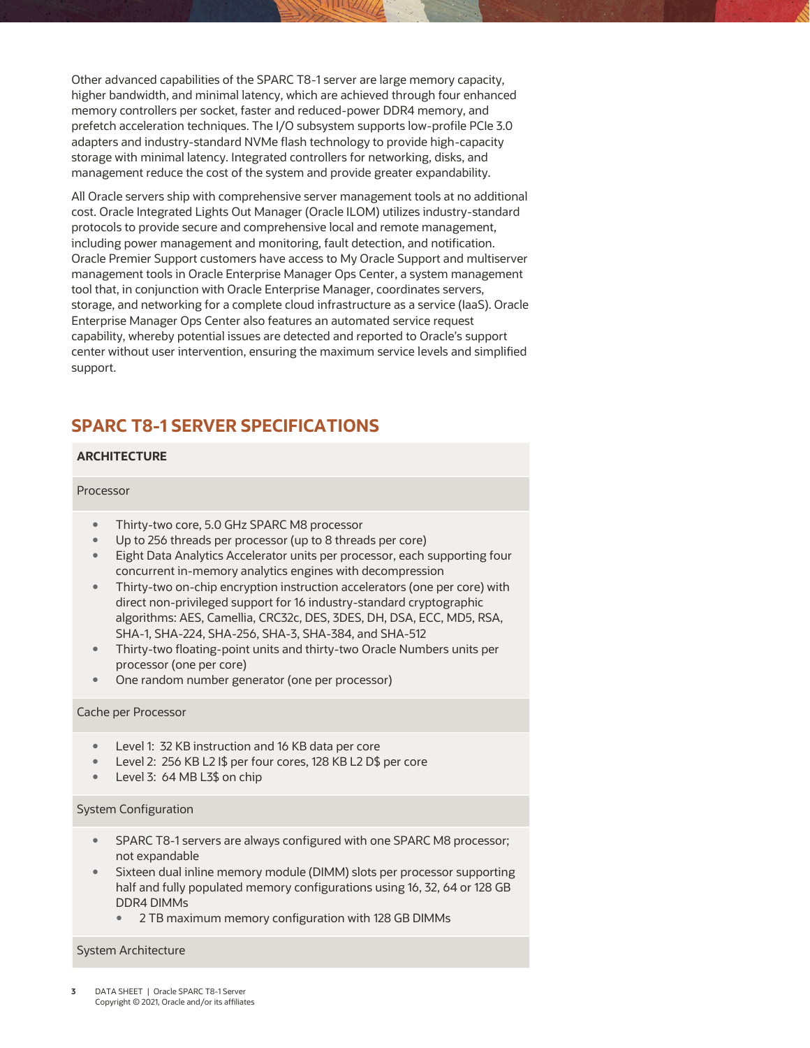Other advanced capabilities of the SPARC T8-1 server are large memory capacity, higher bandwidth, and minimal latency, which are achieved through four enhanced memory controllers per socket, faster and reduced-power DDR4 memory, and prefetch acceleration techniques. The I/O subsystem supports low-profile PCIe 3.0 adapters and industry-standard NVMe flash technology to provide high-capacity storage with minimal latency. Integrated controllers for networking, disks, and management reduce the cost of the system and provide greater expandability.

All Oracle servers ship with comprehensive server management tools at no additional cost. Oracle Integrated Lights Out Manager (Oracle ILOM) utilizes industry-standard protocols to provide secure and comprehensive local and remote management, including power management and monitoring, fault detection, and notification. Oracle Premier Support customers have access to My Oracle Support and multiserver management tools in Oracle Enterprise Manager Ops Center, a system management tool that, in conjunction with Oracle Enterprise Manager, coordinates servers, storage, and networking for a complete cloud infrastructure as a service (IaaS). Oracle Enterprise Manager Ops Center also features an automated service request capability, whereby potential issues are detected and reported to Oracle's support center without user intervention, ensuring the maximum service levels and simplified support.

# **SPARC T8-1 SERVER SPECIFICATIONS**

# **ARCHITECTURE**

# Processor

- Thirty-two core, 5.0 GHz SPARC M8 processor
- Up to 256 threads per processor (up to 8 threads per core)
- Eight Data Analytics Accelerator units per processor, each supporting four concurrent in-memory analytics engines with decompression
- Thirty-two on-chip encryption instruction accelerators (one per core) with direct non-privileged support for 16 industry-standard cryptographic algorithms: AES, Camellia, CRC32c, DES, 3DES, DH, DSA, ECC, MD5, RSA, SHA-1, SHA-224, SHA-256, SHA-3, SHA-384, and SHA-512
- Thirty-two floating-point units and thirty-two Oracle Numbers units per processor (one per core)
- One random number generator (one per processor)

#### Cache per Processor

- Level 1: 32 KB instruction and 16 KB data per core
- Level 2: 256 KB L2 I\$ per four cores, 128 KB L2 D\$ per core
- Level 3: 64 MB L3\$ on chip

#### System Configuration

- SPARC T8-1 servers are always configured with one SPARC M8 processor; not expandable
- Sixteen dual inline memory module (DIMM) slots per processor supporting half and fully populated memory configurations using 16, 32, 64 or 128 GB DDR4 DIMMs
	- 2 TB maximum memory configuration with 128 GB DIMMs

#### System Architecture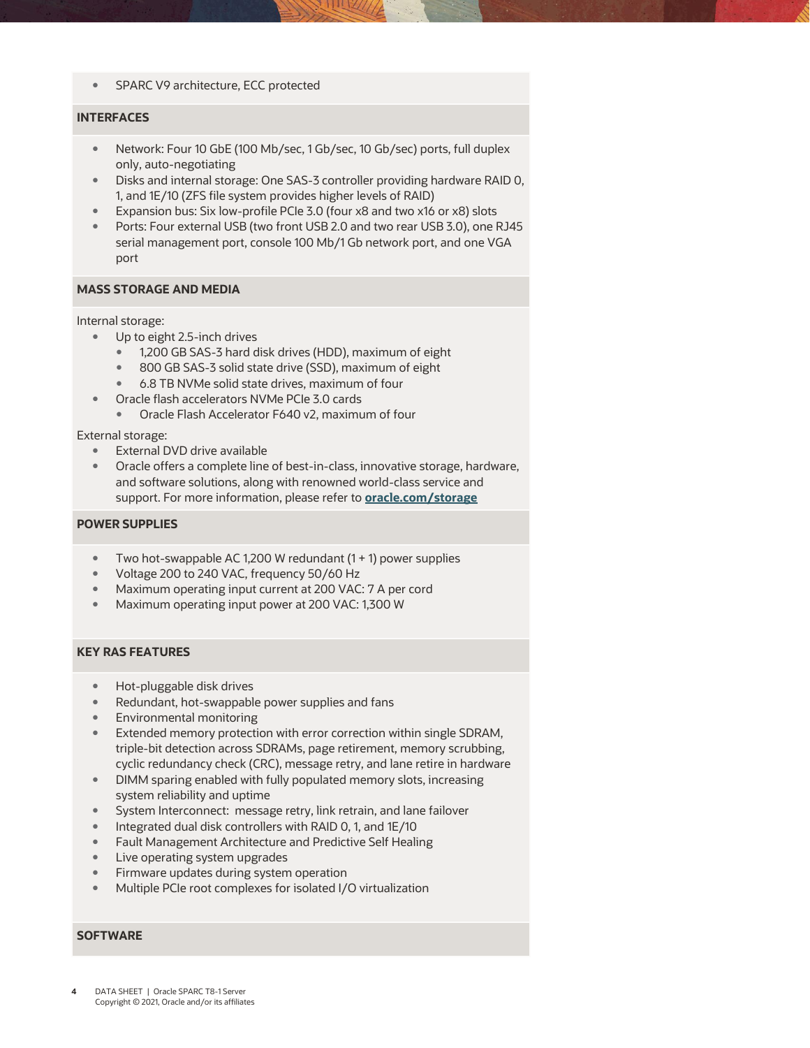• SPARC V9 architecture, ECC protected

## **INTERFACES**

- Network: Four 10 GbE (100 Mb/sec, 1 Gb/sec, 10 Gb/sec) ports, full duplex only, auto-negotiating
- Disks and internal storage: One SAS-3 controller providing hardware RAID 0, 1, and 1E/10 (ZFS file system provides higher levels of RAID)
- Expansion bus: Six low-profile PCIe 3.0 (four x8 and two x16 or x8) slots
- Ports: Four external USB (two front USB 2.0 and two rear USB 3.0), one RJ45 serial management port, console 100 Mb/1 Gb network port, and one VGA port

#### **MASS STORAGE AND MEDIA**

Internal storage:

- Up to eight 2.5-inch drives
	- 1,200 GB SAS-3 hard disk drives (HDD), maximum of eight
	- 800 GB SAS-3 solid state drive (SSD), maximum of eight
	- 6.8 TB NVMe solid state drives, maximum of four
- Oracle flash accelerators NVMe PCIe 3.0 cards
	- Oracle Flash Accelerator F640 v2, maximum of four

#### External storage:

- External DVD drive available
- Oracle offers a complete line of best-in-class, innovative storage, hardware, and software solutions, along with renowned world-class service and support. For more information, please refer to **[oracle.com/storage](http://www.oracle.com/storage)**

# **POWER SUPPLIES**

- Two hot-swappable AC 1,200 W redundant  $(1 + 1)$  power supplies
- Voltage 200 to 240 VAC, frequency 50/60 Hz
- Maximum operating input current at 200 VAC: 7 A per cord
- Maximum operating input power at 200 VAC: 1,300 W

#### **KEY RAS FEATURES**

- Hot-pluggable disk drives
- Redundant, hot-swappable power supplies and fans
- Environmental monitoring
- Extended memory protection with error correction within single SDRAM, triple-bit detection across SDRAMs, page retirement, memory scrubbing, cyclic redundancy check (CRC), message retry, and lane retire in hardware
- DIMM sparing enabled with fully populated memory slots, increasing system reliability and uptime
- System Interconnect: message retry, link retrain, and lane failover
- Integrated dual disk controllers with RAID 0, 1, and 1E/10
- Fault Management Architecture and Predictive Self Healing
- Live operating system upgrades
- Firmware updates during system operation
- Multiple PCIe root complexes for isolated I/O virtualization

#### **SOFTWARE**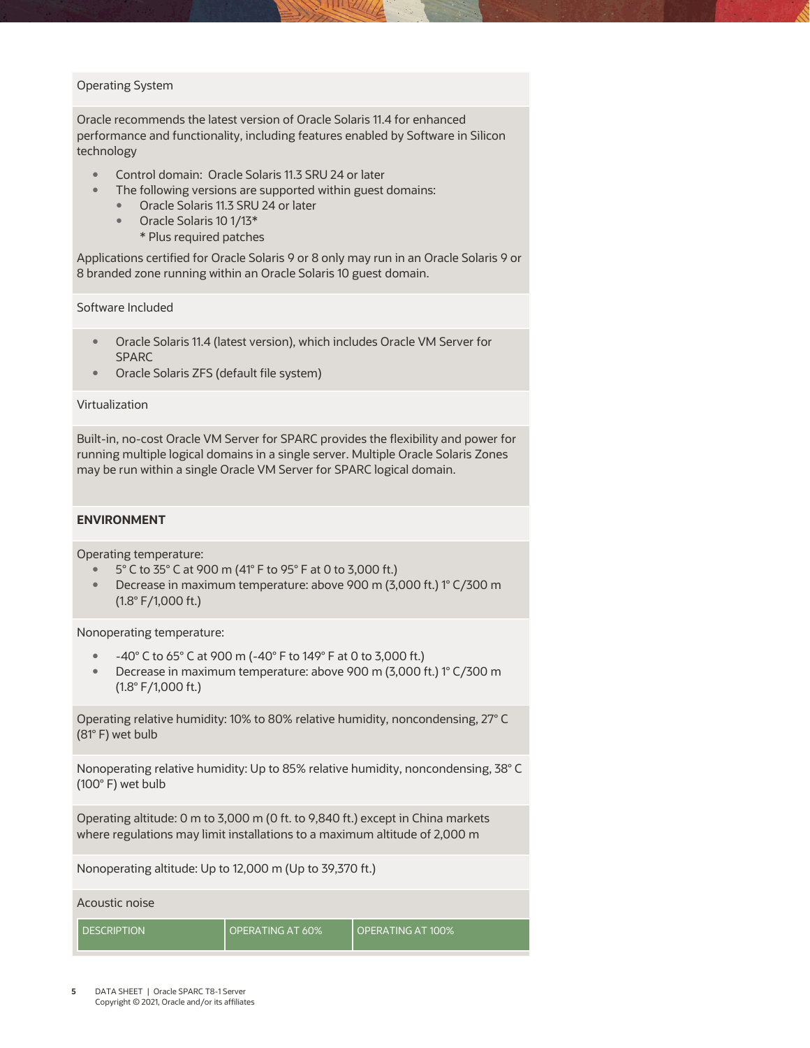# Operating System

Oracle recommends the latest version of Oracle Solaris 11.4 for enhanced performance and functionality, including features enabled by Software in Silicon technology

- Control domain: Oracle Solaris 11.3 SRU 24 or later
- The following versions are supported within guest domains:
	- Oracle Solaris 11.3 SRU 24 or later
	- Oracle Solaris 10 1/13\*
		- \* Plus required patches

Applications certified for Oracle Solaris 9 or 8 only may run in an Oracle Solaris 9 or 8 branded zone running within an Oracle Solaris 10 guest domain.

Software Included

- Oracle Solaris 11.4 (latest version), which includes Oracle VM Server for SPARC
- Oracle Solaris ZFS (default file system)

#### Virtualization

Built-in, no-cost Oracle VM Server for SPARC provides the flexibility and power for running multiple logical domains in a single server. Multiple Oracle Solaris Zones may be run within a single Oracle VM Server for SPARC logical domain.

# **ENVIRONMENT**

Operating temperature:

- 5° C to 35° C at 900 m (41° F to 95° F at 0 to 3,000 ft.)
- Decrease in maximum temperature: above 900 m (3,000 ft.) 1° C/300 m (1.8° F/1,000 ft.)

Nonoperating temperature:

- -40° C to 65° C at 900 m (-40° F to 149° F at 0 to 3,000 ft.)
- Decrease in maximum temperature: above 900 m (3,000 ft.) 1° C/300 m (1.8° F/1,000 ft.)

Operating relative humidity: 10% to 80% relative humidity, noncondensing, 27° C (81° F) wet bulb

Nonoperating relative humidity: Up to 85% relative humidity, noncondensing, 38° C (100° F) wet bulb

Operating altitude: 0 m to 3,000 m (0 ft. to 9,840 ft.) except in China markets where regulations may limit installations to a maximum altitude of 2,000 m

Nonoperating altitude: Up to 12,000 m (Up to 39,370 ft.)

Acoustic noise

DESCRIPTION | OPERATING AT 60% | OPERATING AT 100%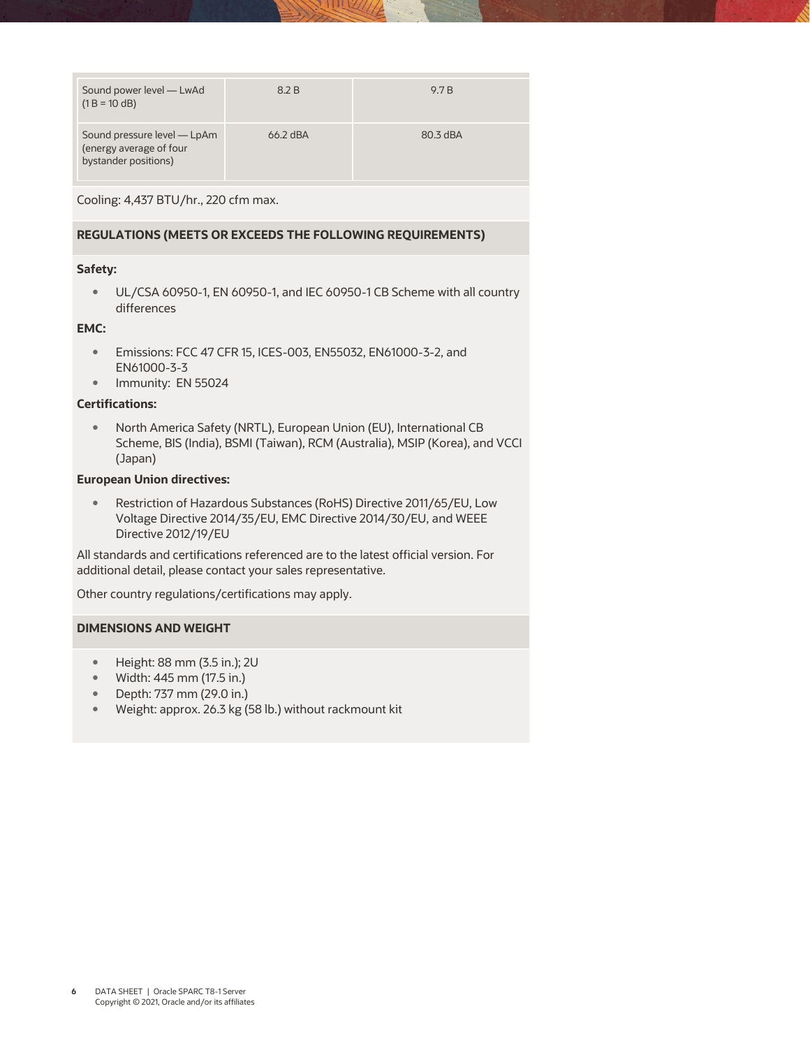| Sound power level — LwAd<br>$(1 B = 10 dB)$                                    | 8.2 B      | 9.7 B    |
|--------------------------------------------------------------------------------|------------|----------|
| Sound pressure level — LpAm<br>(energy average of four<br>bystander positions) | $66.2$ dBA | 80.3 dBA |

Cooling: 4,437 BTU/hr., 220 cfm max.

# **REGULATIONS (MEETS OR EXCEEDS THE FOLLOWING REQUIREMENTS)**

# **Safety:**

 UL/CSA 60950-1, EN 60950-1, and IEC 60950-1 CB Scheme with all country differences

# **EMC:**

- Emissions: FCC 47 CFR 15, ICES-003, EN55032, EN61000-3-2, and EN61000-3-3
- Immunity: EN 55024

# **Certifications:**

 North America Safety (NRTL), European Union (EU), International CB Scheme, BIS (India), BSMI (Taiwan), RCM (Australia), MSIP (Korea), and VCCI (Japan)

# **European Union directives:**

 Restriction of Hazardous Substances (RoHS) Directive 2011/65/EU, Low Voltage Directive 2014/35/EU, EMC Directive 2014/30/EU, and WEEE Directive 2012/19/EU

All standards and certifications referenced are to the latest official version. For additional detail, please contact your sales representative.

Other country regulations/certifications may apply.

# **DIMENSIONS AND WEIGHT**

- Height: 88 mm (3.5 in.); 2U
- Width: 445 mm (17.5 in.)
- Depth: 737 mm (29.0 in.)
- Weight: approx. 26.3 kg (58 lb.) without rackmount kit